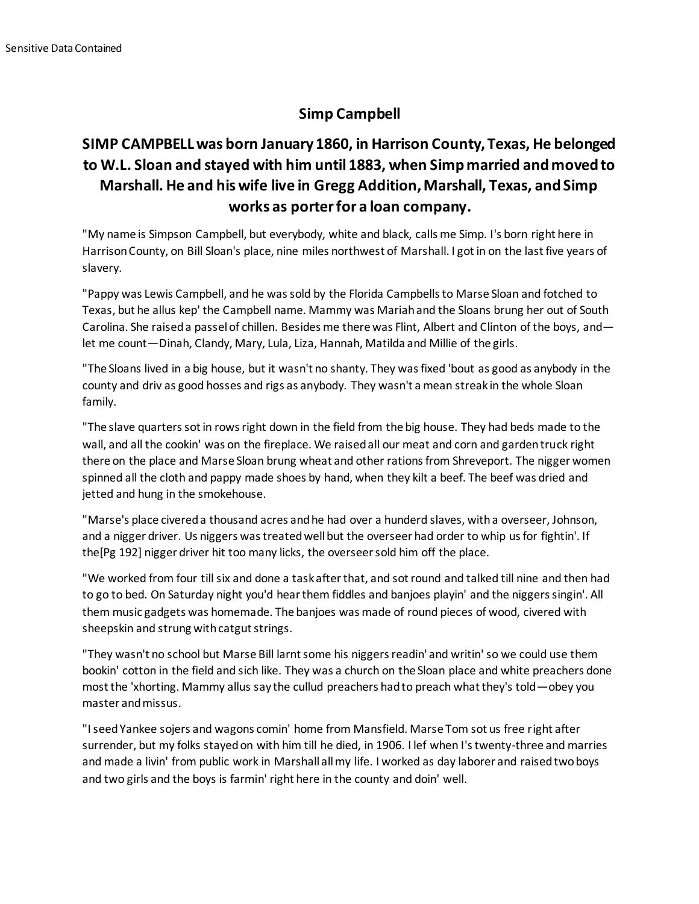## **Simp Campbell**

## **SIMP CAMPBELL was born January 1860, in Harrison County, Texas, He belonged to W.L. Sloan and stayed with him until 1883, when Simp married and moved to Marshall. He and his wife live in Gregg Addition, Marshall, Texas, and Simp works as porter for a loan company.**

"My name is Simpson Campbell, but everybody, white and black, calls me Simp. I's born right here in Harrison County, on Bill Sloan's place, nine miles northwest of Marshall. I got in on the last five years of slavery.

"Pappy was Lewis Campbell, and he was sold by the Florida Campbells to Marse Sloan and fotched to Texas, but he allus kep' the Campbell name. Mammy was Mariah and the Sloans brung her out of South Carolina. She raised a passel of chillen. Besides me there was Flint, Albert and Clinton of the boys, and let me count—Dinah, Clandy, Mary, Lula, Liza, Hannah, Matilda and Millie of the girls.

"The Sloans lived in a big house, but it wasn't no shanty. They was fixed 'bout as good as anybody in the county and driv as good hosses and rigs as anybody. They wasn't a mean streak in the whole Sloan family.

"The slave quarters sot in rows right down in the field from the big house. They had beds made to the wall, and all the cookin' was on the fireplace. We raised all our meat and corn and garden truck right there on the place and Marse Sloan brung wheat and other rations from Shreveport. The nigger women spinned all the cloth and pappy made shoes by hand, when they kilt a beef. The beef was dried and jetted and hung in the smokehouse.

"Marse's place civered a thousand acres and he had over a hunderd slaves, with a overseer, Johnson, and a nigger driver. Us niggers was treated well but the overseer had order to whip us for fightin'. If the[Pg 192] nigger driver hit too many licks, the overseer sold him off the place.

"We worked from four till six and done a task after that, and sot round and talked till nine and then had to go to bed. On Saturday night you'd hear them fiddles and banjoes playin' and the niggers singin'. All them music gadgets was homemade. The banjoes was made of round pieces of wood, civered with sheepskin and strung with catgut strings.

"They wasn't no school but Marse Bill larnt some his niggers readin' and writin' so we could use them bookin' cotton in the field and sich like. They was a church on the Sloan place and white preachers done most the 'xhorting. Mammy allus say the cullud preachers had to preach what they's told—obey you master and missus.

"I seed Yankee sojers and wagons comin' home from Mansfield. Marse Tom sot us free right after surrender, but my folks stayed on with him till he died, in 1906. I lef when I's twenty-three and marries and made a livin' from public work in Marshall all my life. I worked as day laborer and raised two boys and two girls and the boys is farmin' right here in the county and doin' well.